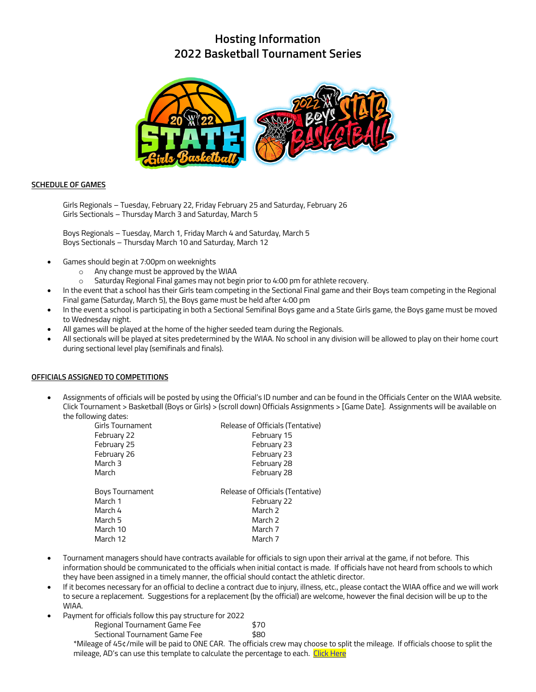# **Hosting Information 2022 Basketball Tournament Series**



#### **SCHEDULE OF GAMES**

Girls Regionals – Tuesday, February 22, Friday February 25 and Saturday, February 26 Girls Sectionals – Thursday March 3 and Saturday, March 5

Boys Regionals – Tuesday, March 1, Friday March 4 and Saturday, March 5 Boys Sectionals – Thursday March 10 and Saturday, March 12

- Games should begin at 7:00pm on weeknights
	- $\circ$  Any change must be approved by the WIAA  $\circ$  Saturday Regional Final games may not bee
	- Saturday Regional Final games may not begin prior to 4:00 pm for athlete recovery.
- In the event that a school has their Girls team competing in the Sectional Final game and their Boys team competing in the Regional Final game (Saturday, March 5), the Boys game must be held after 4:00 pm
- In the event a school is participating in both a Sectional Semifinal Boys game and a State Girls game, the Boys game must be moved to Wednesday night.
- All games will be played at the home of the higher seeded team during the Regionals.
- All sectionals will be played at sites predetermined by the WIAA. No school in any division will be allowed to play on their home court during sectional level play (semifinals and finals).

#### **OFFICIALS ASSIGNED TO COMPETITIONS**

• Assignments of officials will be posted by using the Official's ID number and can be found in the Officials Center on the WIAA website. Click Tournament > Basketball (Boys or Girls) > (scroll down) Officials Assignments > [Game Date]. Assignments will be available on the following dates:

| Girls Tournament | Release of Officials (Tentative) |
|------------------|----------------------------------|
| February 22      | February 15                      |
| February 25      | February 23                      |
| February 26      | February 23                      |
| March 3          | February 28                      |
| March            | February 28                      |
|                  |                                  |
| Boys Tournament  | Release of Officials (Tentative) |
| March 1          | February 22                      |
| March 4          | March 2                          |
| March 5          | March 2                          |
| March 10         | March 7                          |
| March 12         | March 7                          |

- Tournament managers should have contracts available for officials to sign upon their arrival at the game, if not before. This information should be communicated to the officials when initial contact is made. If officials have not heard from schools to which they have been assigned in a timely manner, the official should contact the athletic director.
- If it becomes necessary for an official to decline a contract due to injury, illness, etc., please contact the WIAA office and we will work to secure a replacement. Suggestions for a replacement (by the official) are welcome, however the final decision will be up to the WIAA.
- Payment for officials follow this pay structure for 2022

| Regional Tournament Game Fee  | \$70 |
|-------------------------------|------|
| Sectional Tournament Game Fee | \$80 |

\*Mileage of 45¢/mile will be paid to ONE CAR. The officials crew may choose to split the mileage. If officials choose to split the mileage, AD's can use this template to calculate the percentage to each. Click Here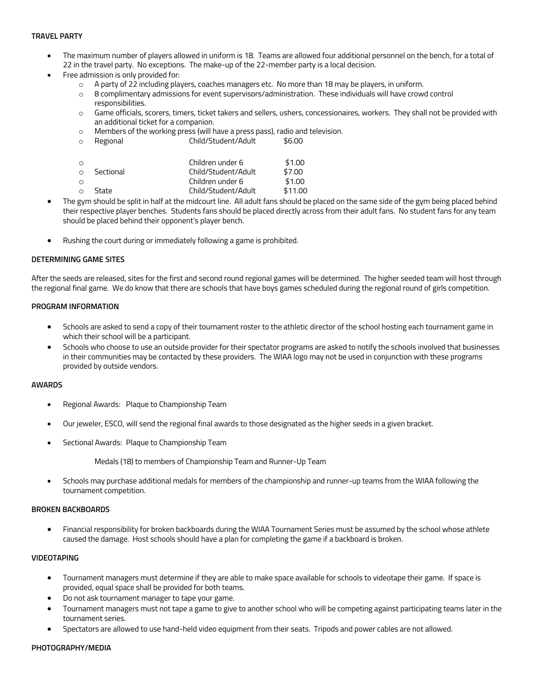## **TRAVEL PARTY**

- The maximum number of players allowed in uniform is 18. Teams are allowed four additional personnel on the bench, for a total of 22 in the travel party. No exceptions. The make-up of the 22-member party is a local decision.
- Free admission is only provided for:
	- o A party of 22 including players, coaches managers etc. No more than 18 may be players, in uniform.
	- o 8 complimentary admissions for event supervisors/administration. These individuals will have crowd control responsibilities.
	- o Game officials, scorers, timers, ticket takers and sellers, ushers, concessionaires, workers. They shall not be provided with an additional ticket for a companion.
	- o Members of the working press (will have a press pass), radio and television.
	- o Regional Child/Student/Adult \$6.00

|           | Children under 6    | \$1.00  |
|-----------|---------------------|---------|
| Sectional | Child/Student/Adult | \$7.00  |
|           | Children under 6    | \$1.00  |
| State     | Child/Student/Adult | \$11.00 |
|           |                     |         |

- The gym should be split in half at the midcourt line. All adult fans should be placed on the same side of the gym being placed behind their respective player benches. Students fans should be placed directly across from their adult fans. No student fans for any team should be placed behind their opponent's player bench.
- Rushing the court during or immediately following a game is prohibited.

## **DETERMINING GAME SITES**

After the seeds are released, sites for the first and second round regional games will be determined. The higher seeded team will host through the regional final game. We do know that there are schools that have boys games scheduled during the regional round of girls competition.

#### **PROGRAM INFORMATION**

- Schools are asked to send a copy of their tournament roster to the athletic director of the school hosting each tournament game in which their school will be a participant.
- Schools who choose to use an outside provider for their spectator programs are asked to notify the schools involved that businesses in their communities may be contacted by these providers. The WIAA logo may not be used in conjunction with these programs provided by outside vendors.

#### **AWARDS**

- Regional Awards: Plaque to Championship Team
- Our jeweler, ESCO, will send the regional final awards to those designated as the higher seeds in a given bracket.
- Sectional Awards: Plaque to Championship Team

Medals (18) to members of Championship Team and Runner-Up Team

• Schools may purchase additional medals for members of the championship and runner-up teams from the WIAA following the tournament competition.

#### **BROKEN BACKBOARDS**

• Financial responsibility for broken backboards during the WIAA Tournament Series must be assumed by the school whose athlete caused the damage. Host schools should have a plan for completing the game if a backboard is broken.

## **VIDEOTAPING**

- Tournament managers must determine if they are able to make space available for schools to videotape their game. If space is provided, equal space shall be provided for both teams.
- Do not ask tournament manager to tape your game.
- Tournament managers must not tape a game to give to another school who will be competing against participating teams later in the tournament series.
- Spectators are allowed to use hand-held video equipment from their seats. Tripods and power cables are not allowed.

#### **PHOTOGRAPHY/MEDIA**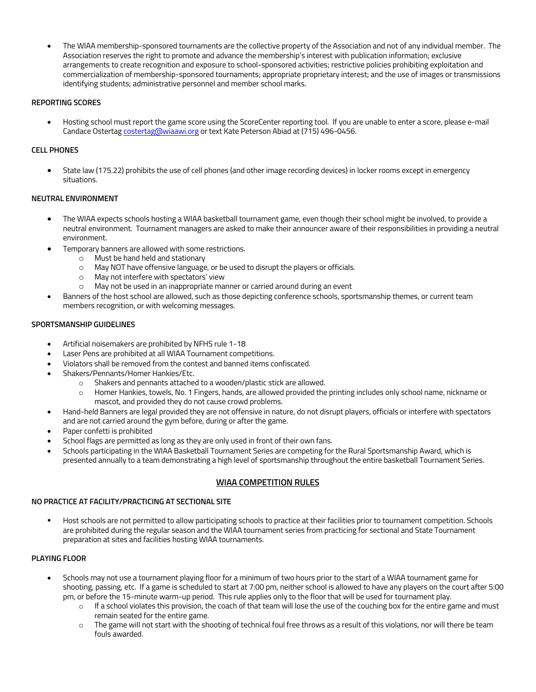• The WIAA membership-sponsored tournaments are the collective property of the Association and not of any individual member. The Association reserves the right to promote and advance the membership's interest with publication information; exclusive arrangements to create recognition and exposure to school-sponsored activities; restrictive policies prohibiting exploitation and commercialization of membership-sponsored tournaments; appropriate proprietary interest; and the use of images or transmissions identifying students; administrative personnel and member school marks.

## **REPORTING SCORES**

• Hosting school must report the game score using the ScoreCenter reporting tool. If you are unable to enter a score, please e-mail Candace Ostertag costertag@wiaawi.org or text Kate Peterson Abiad at (715) 496-0456.

## **CELL PHONES**

• State law (175.22) prohibits the use of cell phones (and other image recording devices) in locker rooms except in emergency situations.

## **NEUTRAL ENVIRONMENT**

- The WIAA expects schools hosting a WIAA basketball tournament game, even though their school might be involved, to provide a neutral environment. Tournament managers are asked to make their announcer aware of their responsibilities in providing a neutral environment.
- Temporary banners are allowed with some restrictions.
	- o Must be hand held and stationary
	- o May NOT have offensive language, or be used to disrupt the players or officials.
	- o May not interfere with spectators' view
	- o May not be used in an inappropriate manner or carried around during an event
- Banners of the host school are allowed, such as those depicting conference schools, sportsmanship themes, or current team members recognition, or with welcoming messages.

## **SPORTSMANSHIP GUIDELINES**

- Artificial noisemakers are prohibited by NFHS rule 1-18
- Laser Pens are prohibited at all WIAA Tournament competitions.
- Violators shall be removed from the contest and banned items confiscated.
- Shakers/Pennants/Homer Hankies/Etc.
	- o Shakers and pennants attached to a wooden/plastic stick are allowed.
	- $\circ$  Homer Hankies, towels, No. 1 Fingers, hands, are allowed provided the printing includes only school name, nickname or mascot, and provided they do not cause crowd problems.
- Hand-held Banners are legal provided they are not offensive in nature, do not disrupt players, officials or interfere with spectators and are not carried around the gym before, during or after the game.
- Paper confetti is prohibited
- School flags are permitted as long as they are only used in front of their own fans.
- Schools participating in the WIAA Basketball Tournament Series are competing for the Rural Sportsmanship Award, which is presented annually to a team demonstrating a high level of sportsmanship throughout the entire basketball Tournament Series.

# **WIAA COMPETITION RULES**

#### **NO PRACTICE AT FACILITY/PRACTICING AT SECTIONAL SITE**

Host schools are not permitted to allow participating schools to practice at their facilities prior to tournament competition. Schools are prohibited during the regular season and the WIAA tournament series from practicing for sectional and State Tournament preparation at sites and facilities hosting WIAA tournaments.

# **PLAYING FLOOR**

- Schools may not use a tournament playing floor for a minimum of two hours prior to the start of a WIAA tournament game for shooting, passing, etc. If a game is scheduled to start at 7:00 pm, neither school is allowed to have any players on the court after 5:00 pm, or before the 15-minute warm-up period. This rule applies only to the floor that will be used for tournament play.
	- o If a school violates this provision, the coach of that team will lose the use of the couching box for the entire game and must remain seated for the entire game.
	- o The game will not start with the shooting of technical foul free throws as a result of this violations, nor will there be team fouls awarded.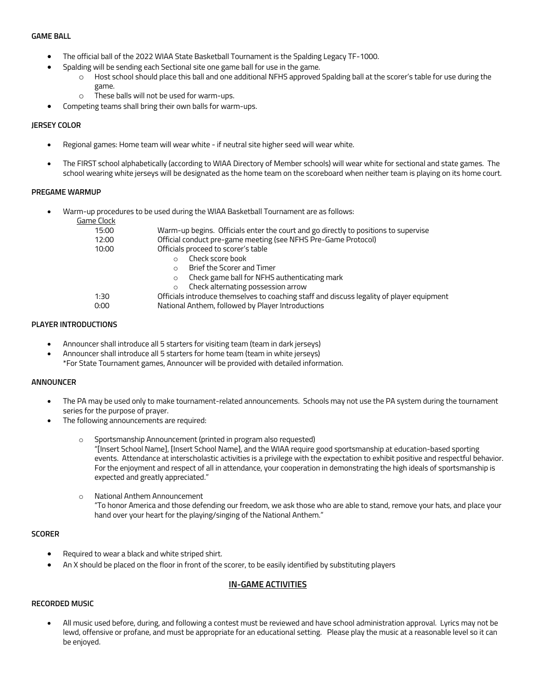#### **GAME BALL**

- The official ball of the 2022 WIAA State Basketball Tournament is the Spalding Legacy TF-1000.
	- Spalding will be sending each Sectional site one game ball for use in the game.
		- o Host school should place this ball and one additional NFHS approved Spalding ball at the scorer's table for use during the game.
			- o These balls will not be used for warm-ups.
- Competing teams shall bring their own balls for warm-ups.

# **JERSEY COLOR**

- Regional games: Home team will wear white if neutral site higher seed will wear white.
- The FIRST school alphabetically (according to WIAA Directory of Member schools) will wear white for sectional and state games. The school wearing white jerseys will be designated as the home team on the scoreboard when neither team is playing on its home court.

## **PREGAME WARMUP**

• Warm-up procedures to be used during the WIAA Basketball Tournament are as follows:

| Game Clock |                                                                                           |
|------------|-------------------------------------------------------------------------------------------|
| 15:00      | Warm-up begins. Officials enter the court and go directly to positions to supervise       |
| 12:00      | Official conduct pre-game meeting (see NFHS Pre-Game Protocol)                            |
| 10:00      | Officials proceed to scorer's table                                                       |
|            | Check score book                                                                          |
|            | Brief the Scorer and Timer<br>$\Omega$                                                    |
|            | Check game ball for NFHS authenticating mark<br>$\circ$                                   |
|            | Check alternating possession arrow<br>$\circ$                                             |
| 1:30       | Officials introduce themselves to coaching staff and discuss legality of player equipment |
| 0:00       | National Anthem, followed by Player Introductions                                         |
|            |                                                                                           |

## **PLAYER INTRODUCTIONS**

- Announcer shall introduce all 5 starters for visiting team (team in dark jerseys)
- Announcer shall introduce all 5 starters for home team (team in white jerseys) \*For State Tournament games, Announcer will be provided with detailed information.

# **ANNOUNCER**

- The PA may be used only to make tournament-related announcements. Schools may not use the PA system during the tournament series for the purpose of prayer.
- The following announcements are required:
	- Sportsmanship Announcement (printed in program also requested) "[Insert School Name], [Insert School Name], and the WIAA require good sportsmanship at education-based sporting events. Attendance at interscholastic activities is a privilege with the expectation to exhibit positive and respectful behavior. For the enjoyment and respect of all in attendance, your cooperation in demonstrating the high ideals of sportsmanship is expected and greatly appreciated."
	- o National Anthem Announcement "To honor America and those defending our freedom, we ask those who are able to stand, remove your hats, and place your hand over your heart for the playing/singing of the National Anthem."

# **SCORER**

- Required to wear a black and white striped shirt.
- An X should be placed on the floor in front of the scorer, to be easily identified by substituting players

# **IN-GAME ACTIVITIES**

# **RECORDED MUSIC**

• All music used before, during, and following a contest must be reviewed and have school administration approval. Lyrics may not be lewd, offensive or profane, and must be appropriate for an educational setting. Please play the music at a reasonable level so it can be enjoyed.